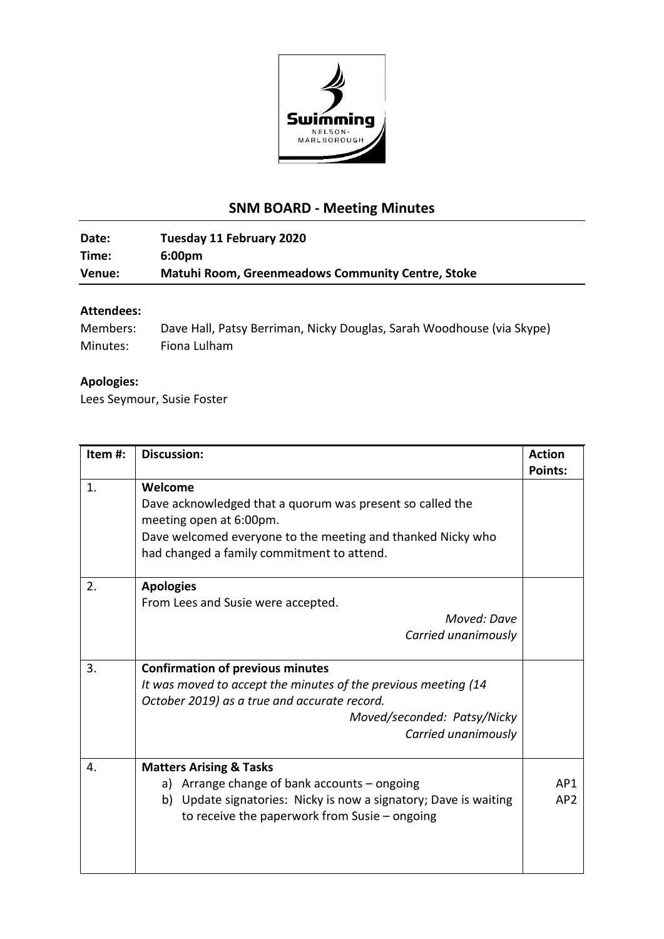

## **SNM BOARD - Meeting Minutes**

## **Date: Tuesday 11 February 2020 Time: 6:00pm Venue: Matuhi Room, Greenmeadows Community Centre, Stoke**

## **Attendees:**

| Members: | Dave Hall, Patsy Berriman, Nicky Douglas, Sarah Woodhouse (via Skype) |
|----------|-----------------------------------------------------------------------|
| Minutes: | Fiona Lulham                                                          |

## **Apologies:**

Lees Seymour, Susie Foster

| Item#: | <b>Discussion:</b>                                                                                                                                                                                              | <b>Action</b>                      |
|--------|-----------------------------------------------------------------------------------------------------------------------------------------------------------------------------------------------------------------|------------------------------------|
| 1.     | Welcome<br>Dave acknowledged that a quorum was present so called the<br>meeting open at 6:00pm.<br>Dave welcomed everyone to the meeting and thanked Nicky who<br>had changed a family commitment to attend.    | <b>Points:</b>                     |
| 2.     | <b>Apologies</b><br>From Lees and Susie were accepted.<br>Moved: Dave<br>Carried unanimously                                                                                                                    |                                    |
| 3.     | <b>Confirmation of previous minutes</b><br>It was moved to accept the minutes of the previous meeting (14<br>October 2019) as a true and accurate record.<br>Moved/seconded: Patsy/Nicky<br>Carried unanimously |                                    |
| 4.     | <b>Matters Arising &amp; Tasks</b><br>a) Arrange change of bank accounts – ongoing<br>b) Update signatories: Nicky is now a signatory; Dave is waiting<br>to receive the paperwork from Susie - ongoing         | AP <sub>1</sub><br>AP <sub>2</sub> |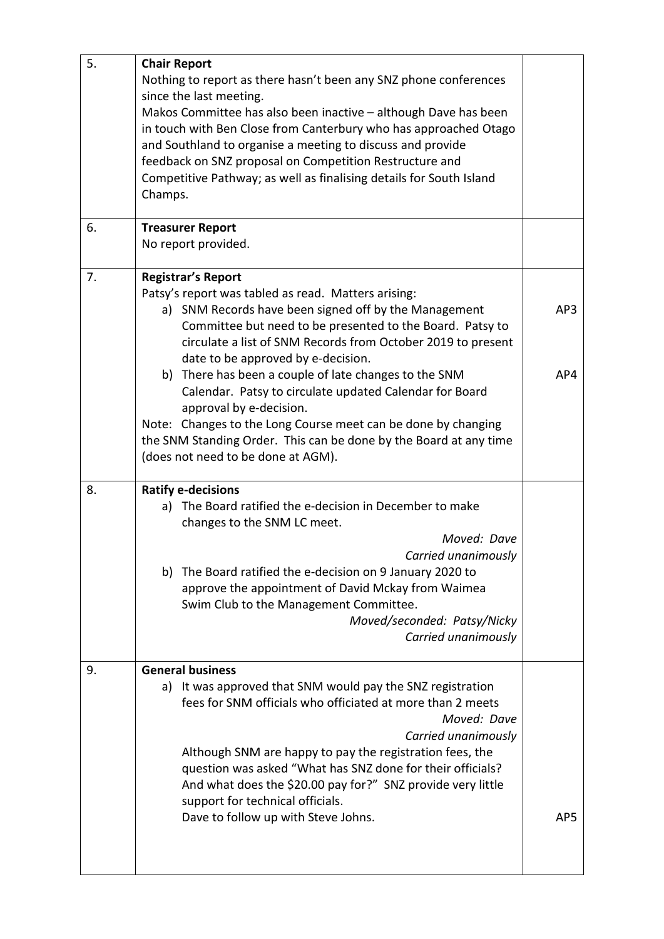| 5. | <b>Chair Report</b>                                                 |     |  |  |
|----|---------------------------------------------------------------------|-----|--|--|
|    | Nothing to report as there hasn't been any SNZ phone conferences    |     |  |  |
|    | since the last meeting.                                             |     |  |  |
|    | Makos Committee has also been inactive - although Dave has been     |     |  |  |
|    | in touch with Ben Close from Canterbury who has approached Otago    |     |  |  |
|    | and Southland to organise a meeting to discuss and provide          |     |  |  |
|    |                                                                     |     |  |  |
|    | feedback on SNZ proposal on Competition Restructure and             |     |  |  |
|    | Competitive Pathway; as well as finalising details for South Island |     |  |  |
|    | Champs.                                                             |     |  |  |
|    |                                                                     |     |  |  |
| 6. | <b>Treasurer Report</b>                                             |     |  |  |
|    | No report provided.                                                 |     |  |  |
|    |                                                                     |     |  |  |
| 7. | <b>Registrar's Report</b>                                           |     |  |  |
|    | Patsy's report was tabled as read. Matters arising:                 |     |  |  |
|    | a) SNM Records have been signed off by the Management               | AP3 |  |  |
|    | Committee but need to be presented to the Board. Patsy to           |     |  |  |
|    | circulate a list of SNM Records from October 2019 to present        |     |  |  |
|    | date to be approved by e-decision.                                  |     |  |  |
|    | b) There has been a couple of late changes to the SNM               | AP4 |  |  |
|    |                                                                     |     |  |  |
|    | Calendar. Patsy to circulate updated Calendar for Board             |     |  |  |
|    | approval by e-decision.                                             |     |  |  |
|    | Note: Changes to the Long Course meet can be done by changing       |     |  |  |
|    | the SNM Standing Order. This can be done by the Board at any time   |     |  |  |
|    | (does not need to be done at AGM).                                  |     |  |  |
|    |                                                                     |     |  |  |
| 8. | <b>Ratify e-decisions</b>                                           |     |  |  |
|    | a) The Board ratified the e-decision in December to make            |     |  |  |
|    | changes to the SNM LC meet.                                         |     |  |  |
|    | Moved: Dave                                                         |     |  |  |
|    | Carried unanimously                                                 |     |  |  |
|    | b) The Board ratified the e-decision on 9 January 2020 to           |     |  |  |
|    | approve the appointment of David Mckay from Waimea                  |     |  |  |
|    | Swim Club to the Management Committee.                              |     |  |  |
|    | Moved/seconded: Patsy/Nicky                                         |     |  |  |
|    | Carried unanimously                                                 |     |  |  |
|    |                                                                     |     |  |  |
| 9. | <b>General business</b>                                             |     |  |  |
|    | a) It was approved that SNM would pay the SNZ registration          |     |  |  |
|    | fees for SNM officials who officiated at more than 2 meets          |     |  |  |
|    | Moved: Dave                                                         |     |  |  |
|    | Carried unanimously                                                 |     |  |  |
|    |                                                                     |     |  |  |
|    | Although SNM are happy to pay the registration fees, the            |     |  |  |
|    | question was asked "What has SNZ done for their officials?          |     |  |  |
|    | And what does the \$20.00 pay for?" SNZ provide very little         |     |  |  |
|    | support for technical officials.                                    |     |  |  |
|    | Dave to follow up with Steve Johns.                                 | AP5 |  |  |
|    |                                                                     |     |  |  |
|    |                                                                     |     |  |  |
|    |                                                                     |     |  |  |